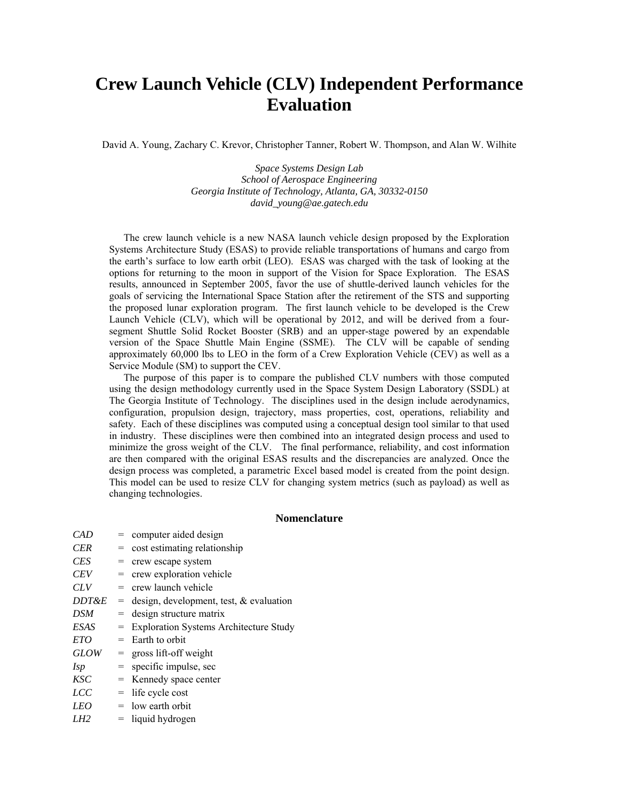# **Crew Launch Vehicle (CLV) Independent Performance Evaluation**

David A. Young, Zachary C. Krevor, Christopher Tanner, Robert W. Thompson, and Alan W. Wilhite

*Space Systems Design Lab School of Aerospace Engineering Georgia Institute of Technology, Atlanta, GA, 30332-0150 david\_young@ae.gatech.edu* 

The crew launch vehicle is a new NASA launch vehicle design proposed by the Exploration Systems Architecture Study (ESAS) to provide reliable transportations of humans and cargo from the earth's surface to low earth orbit (LEO). ESAS was charged with the task of looking at the options for returning to the moon in support of the Vision for Space Exploration. The ESAS results, announced in September 2005, favor the use of shuttle-derived launch vehicles for the goals of servicing the International Space Station after the retirement of the STS and supporting the proposed lunar exploration program. The first launch vehicle to be developed is the Crew Launch Vehicle (CLV), which will be operational by 2012, and will be derived from a foursegment Shuttle Solid Rocket Booster (SRB) and an upper-stage powered by an expendable version of the Space Shuttle Main Engine (SSME). The CLV will be capable of sending approximately 60,000 lbs to LEO in the form of a Crew Exploration Vehicle (CEV) as well as a Service Module (SM) to support the CEV.

The purpose of this paper is to compare the published CLV numbers with those computed using the design methodology currently used in the Space System Design Laboratory (SSDL) at The Georgia Institute of Technology. The disciplines used in the design include aerodynamics, configuration, propulsion design, trajectory, mass properties, cost, operations, reliability and safety. Each of these disciplines was computed using a conceptual design tool similar to that used in industry. These disciplines were then combined into an integrated design process and used to minimize the gross weight of the CLV. The final performance, reliability, and cost information are then compared with the original ESAS results and the discrepancies are analyzed. Once the design process was completed, a parametric Excel based model is created from the point design. This model can be used to resize CLV for changing system metrics (such as payload) as well as changing technologies.

#### **Nomenclature**

| CAD              |     | = computer aided design                     |
|------------------|-----|---------------------------------------------|
| <b>CER</b>       |     | $=$ cost estimating relationship            |
| <b>CES</b>       |     | $=$ crew escape system                      |
| <b>CEV</b>       |     | $=$ crew exploration vehicle                |
| CLV              | $=$ | crew launch vehicle                         |
| <i>DDT&amp;E</i> |     | $=$ design, development, test, & evaluation |
| DSM              |     | $=$ design structure matrix                 |
| ESAS             |     | = Exploration Systems Architecture Study    |
| ETO              | $=$ | Earth to orbit                              |
| <b>GLOW</b>      |     | $=$ gross lift-off weight                   |
| <b>Isp</b>       | $=$ | specific impulse, sec                       |
| KSC              |     | = Kennedy space center                      |
| LCC              | $=$ | life cycle cost                             |
| LEO              |     | $=$ low earth orbit                         |
| LH2              |     | $=$ liquid hydrogen                         |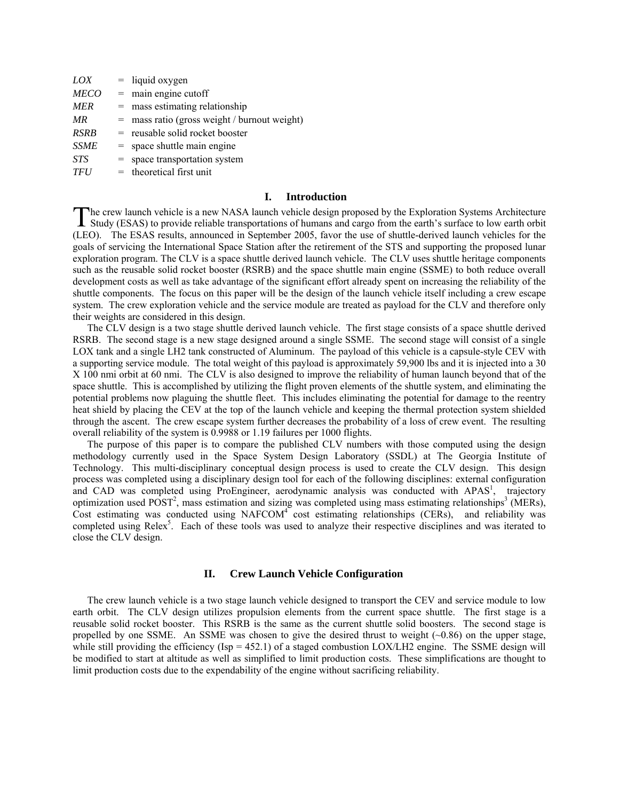| LOX         |     | $=$ liquid oxygen                          |
|-------------|-----|--------------------------------------------|
| <b>MECO</b> |     | $=$ main engine cutoff                     |
| <b>MER</b>  | $=$ | mass estimating relationship               |
| MR          | $=$ | mass ratio (gross weight / burnout weight) |
| <b>RSRB</b> |     | $=$ reusable solid rocket booster          |
| <b>SSME</b> |     | $=$ space shuttle main engine              |
| <b>STS</b>  | $=$ | space transportation system                |
| <b>TFU</b>  |     | $=$ theoretical first unit                 |

#### **I. Introduction**

The crew launch vehicle is a new NASA launch vehicle design proposed by the Exploration Systems Architecture<br>Study (ESAS) to provide reliable transportations of humans and cargo from the earth's surface to low earth orbit Study (ESAS) to provide reliable transportations of humans and cargo from the earth's surface to low earth orbit (LEO). The ESAS results, announced in September 2005, favor the use of shuttle-derived launch vehicles for the goals of servicing the International Space Station after the retirement of the STS and supporting the proposed lunar exploration program. The CLV is a space shuttle derived launch vehicle. The CLV uses shuttle heritage components such as the reusable solid rocket booster (RSRB) and the space shuttle main engine (SSME) to both reduce overall development costs as well as take advantage of the significant effort already spent on increasing the reliability of the shuttle components. The focus on this paper will be the design of the launch vehicle itself including a crew escape system. The crew exploration vehicle and the service module are treated as payload for the CLV and therefore only their weights are considered in this design.

 The CLV design is a two stage shuttle derived launch vehicle. The first stage consists of a space shuttle derived RSRB. The second stage is a new stage designed around a single SSME. The second stage will consist of a single LOX tank and a single LH2 tank constructed of Aluminum. The payload of this vehicle is a capsule-style CEV with a supporting service module. The total weight of this payload is approximately 59,900 lbs and it is injected into a 30 X 100 nmi orbit at 60 nmi. The CLV is also designed to improve the reliability of human launch beyond that of the space shuttle. This is accomplished by utilizing the flight proven elements of the shuttle system, and eliminating the potential problems now plaguing the shuttle fleet. This includes eliminating the potential for damage to the reentry heat shield by placing the CEV at the top of the launch vehicle and keeping the thermal protection system shielded through the ascent. The crew escape system further decreases the probability of a loss of crew event. The resulting overall reliability of the system is 0.9988 or 1.19 failures per 1000 flights.

 The purpose of this paper is to compare the published CLV numbers with those computed using the design methodology currently used in the Space System Design Laboratory (SSDL) at The Georgia Institute of Technology. This multi-disciplinary conceptual design process is used to create the CLV design. This design process was completed using a disciplinary design tool for each of the following disciplines: external configuration and CAD was completed using ProEngineer, aerodynamic analysis was conducted with APAS<sup>1</sup>, trajectory optimization used  $\overline{POST}^2$ , mass estimation and sizing was completed using mass estimating relationships<sup>3</sup> (MERs), Cost estimating was conducted using NAFCOM<sup>4</sup> cost estimating relationships (CERs), and reliability was completed using Relex<sup>5</sup>. Each of these tools was used to analyze their respective disciplines and was iterated to close the CLV design.

# **II. Crew Launch Vehicle Configuration**

The crew launch vehicle is a two stage launch vehicle designed to transport the CEV and service module to low earth orbit. The CLV design utilizes propulsion elements from the current space shuttle. The first stage is a reusable solid rocket booster. This RSRB is the same as the current shuttle solid boosters. The second stage is propelled by one SSME. An SSME was chosen to give the desired thrust to weight  $(-0.86)$  on the upper stage, while still providing the efficiency (Isp =  $452.1$ ) of a staged combustion LOX/LH2 engine. The SSME design will be modified to start at altitude as well as simplified to limit production costs. These simplifications are thought to limit production costs due to the expendability of the engine without sacrificing reliability.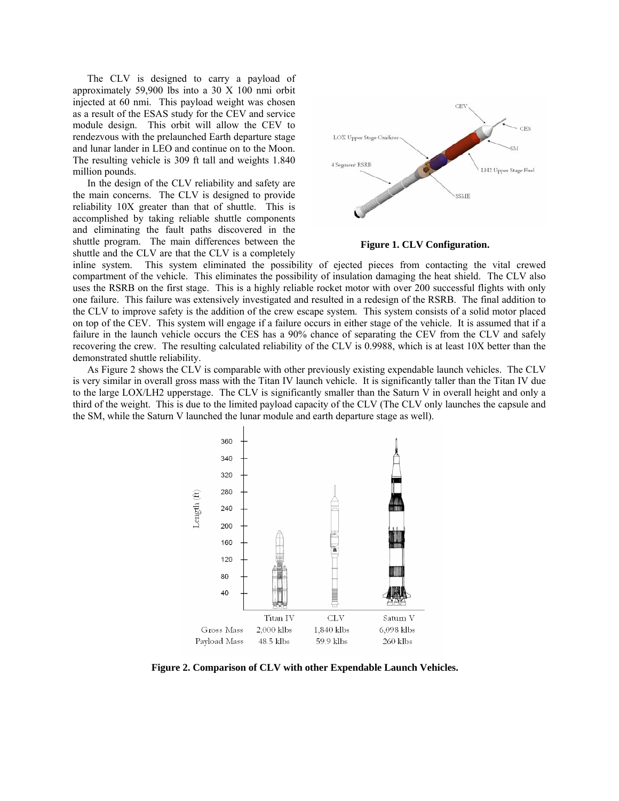The CLV is designed to carry a payload of approximately 59,900 lbs into a 30 X 100 nmi orbit injected at 60 nmi. This payload weight was chosen as a result of the ESAS study for the CEV and service module design. This orbit will allow the CEV to rendezvous with the prelaunched Earth departure stage and lunar lander in LEO and continue on to the Moon. The resulting vehicle is 309 ft tall and weights 1.840 million pounds.

In the design of the CLV reliability and safety are the main concerns. The CLV is designed to provide reliability 10X greater than that of shuttle. This is accomplished by taking reliable shuttle components and eliminating the fault paths discovered in the shuttle program. The main differences between the shuttle and the CLV are that the CLV is a completely



**Figure 1. CLV Configuration.** 

inline system. This system eliminated the possibility of ejected pieces from contacting the vital crewed compartment of the vehicle. This eliminates the possibility of insulation damaging the heat shield. The CLV also uses the RSRB on the first stage. This is a highly reliable rocket motor with over 200 successful flights with only one failure. This failure was extensively investigated and resulted in a redesign of the RSRB. The final addition to the CLV to improve safety is the addition of the crew escape system. This system consists of a solid motor placed on top of the CEV. This system will engage if a failure occurs in either stage of the vehicle. It is assumed that if a failure in the launch vehicle occurs the CES has a 90% chance of separating the CEV from the CLV and safely recovering the crew. The resulting calculated reliability of the CLV is 0.9988, which is at least 10X better than the demonstrated shuttle reliability.

As Figure 2 shows the CLV is comparable with other previously existing expendable launch vehicles. The CLV is very similar in overall gross mass with the Titan IV launch vehicle. It is significantly taller than the Titan IV due to the large LOX/LH2 upperstage. The CLV is significantly smaller than the Saturn V in overall height and only a third of the weight. This is due to the limited payload capacity of the CLV (The CLV only launches the capsule and the SM, while the Saturn V launched the lunar module and earth departure stage as well).



**Figure 2. Comparison of CLV with other Expendable Launch Vehicles.**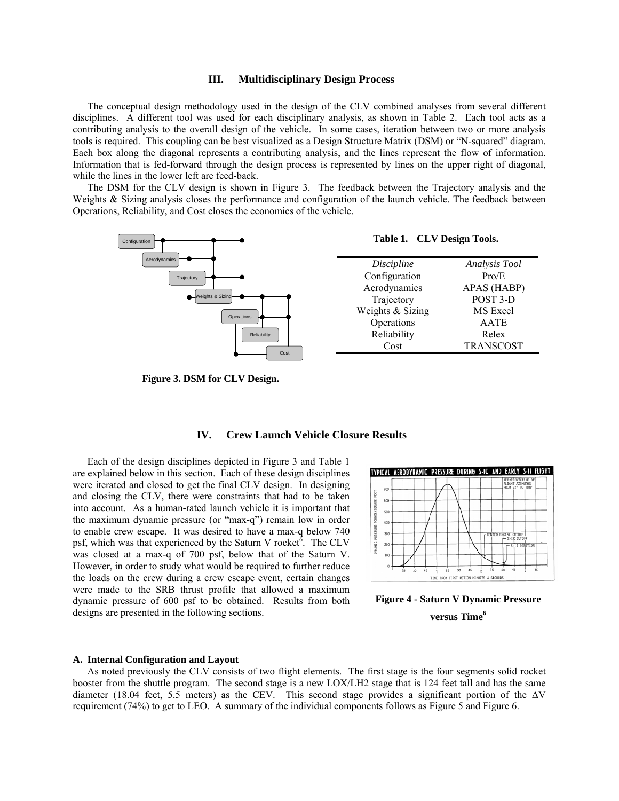## **III. Multidisciplinary Design Process**

The conceptual design methodology used in the design of the CLV combined analyses from several different disciplines. A different tool was used for each disciplinary analysis, as shown in Table 2. Each tool acts as a contributing analysis to the overall design of the vehicle. In some cases, iteration between two or more analysis tools is required. This coupling can be best visualized as a Design Structure Matrix (DSM) or "N-squared" diagram. Each box along the diagonal represents a contributing analysis, and the lines represent the flow of information. Information that is fed-forward through the design process is represented by lines on the upper right of diagonal, while the lines in the lower left are feed-back.

The DSM for the CLV design is shown in Figure 3. The feedback between the Trajectory analysis and the Weights & Sizing analysis closes the performance and configuration of the launch vehicle. The feedback between Operations, Reliability, and Cost closes the economics of the vehicle.



**IV. Crew Launch Vehicle Closure Results** 

**Figure 3. DSM for CLV Design.** 

Each of the design disciplines depicted in Figure 3 and Table 1 are explained below in this section. Each of these design disciplines were iterated and closed to get the final CLV design. In designing and closing the CLV, there were constraints that had to be taken into account. As a human-rated launch vehicle it is important that the maximum dynamic pressure (or "max-q") remain low in order to enable crew escape. It was desired to have a max-q below 740 psf, which was that experienced by the Saturn V rocket<sup>6</sup>. The CLV was closed at a max-q of 700 psf, below that of the Saturn V. However, in order to study what would be required to further reduce the loads on the crew during a crew escape event, certain changes were made to the SRB thrust profile that allowed a maximum dynamic pressure of 600 psf to be obtained. Results from both

|                                |            |    |    |    | TYPICAL AERODYNAMIC PRESSURE DURING S-IC AND EARLY S-II FLIGHT |    |    |    |  |                               |    |    |                 |                                                          |    |
|--------------------------------|------------|----|----|----|----------------------------------------------------------------|----|----|----|--|-------------------------------|----|----|-----------------|----------------------------------------------------------|----|
|                                | 700        |    |    |    |                                                                |    |    |    |  |                               |    |    |                 | REPRESENTATIVE OF<br>FLIGHT AZIMUTHS<br>FROM 72° TO 108° |    |
|                                | 600        |    |    |    |                                                                |    |    |    |  |                               |    |    |                 |                                                          |    |
|                                | 500<br>400 |    |    |    |                                                                |    |    |    |  |                               |    |    |                 |                                                          |    |
| DYNAMIC PRESSURE-POUNDS/SQUARE | 300        |    |    |    |                                                                |    |    |    |  | <b>F CENTER ENGINE CUTOFF</b> |    |    |                 |                                                          |    |
|                                | 200        |    |    |    |                                                                |    |    |    |  |                               |    |    | $-$ S-IC CUTOFF | S-11 IGNITION                                            |    |
|                                | 100        |    |    |    |                                                                |    |    |    |  |                               |    |    |                 |                                                          |    |
|                                | o          | 16 | 30 | 45 |                                                                | 15 | 30 | 45 |  | 16                            | 30 | 45 |                 |                                                          | 15 |

# **Figure 4 - Saturn V Dynamic Pressure versus Time6**

#### **A. Internal Configuration and Layout**

designs are presented in the following sections.

As noted previously the CLV consists of two flight elements. The first stage is the four segments solid rocket booster from the shuttle program. The second stage is a new LOX/LH2 stage that is 124 feet tall and has the same diameter (18.04 feet, 5.5 meters) as the CEV. This second stage provides a significant portion of the ∆V requirement (74%) to get to LEO. A summary of the individual components follows as Figure 5 and Figure 6.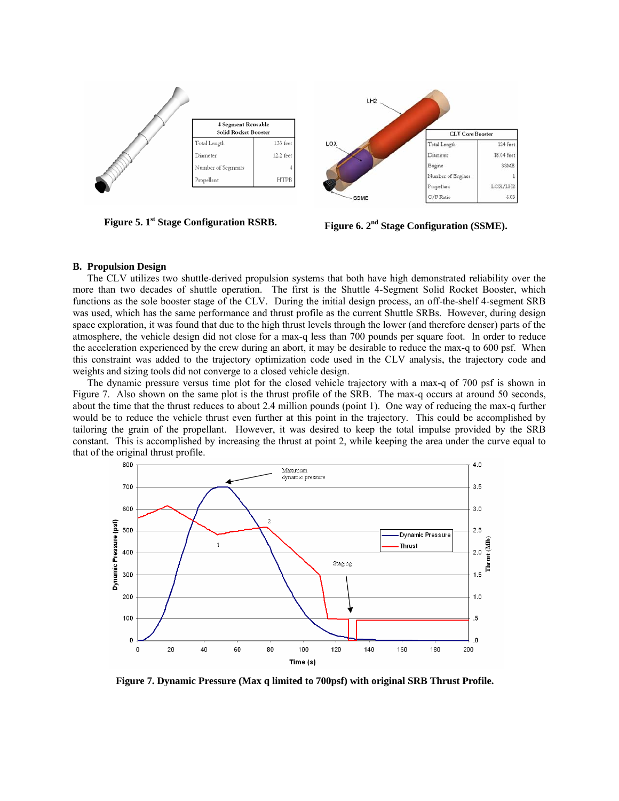

**Figure 5. 1<sup>st</sup> Stage Configuration RSRB.** Figure 6. 2<sup>nd</sup> Stage Configuration (SSME).

#### **B. Propulsion Design**

The CLV utilizes two shuttle-derived propulsion systems that both have high demonstrated reliability over the more than two decades of shuttle operation. The first is the Shuttle 4-Segment Solid Rocket Booster, which functions as the sole booster stage of the CLV. During the initial design process, an off-the-shelf 4-segment SRB was used, which has the same performance and thrust profile as the current Shuttle SRBs. However, during design space exploration, it was found that due to the high thrust levels through the lower (and therefore denser) parts of the atmosphere, the vehicle design did not close for a max-q less than 700 pounds per square foot. In order to reduce the acceleration experienced by the crew during an abort, it may be desirable to reduce the max-q to 600 psf. When this constraint was added to the trajectory optimization code used in the CLV analysis, the trajectory code and weights and sizing tools did not converge to a closed vehicle design.

The dynamic pressure versus time plot for the closed vehicle trajectory with a max-q of 700 psf is shown in Figure 7. Also shown on the same plot is the thrust profile of the SRB. The max-q occurs at around 50 seconds, about the time that the thrust reduces to about 2.4 million pounds (point 1). One way of reducing the max-q further would be to reduce the vehicle thrust even further at this point in the trajectory. This could be accomplished by tailoring the grain of the propellant. However, it was desired to keep the total impulse provided by the SRB constant. This is accomplished by increasing the thrust at point 2, while keeping the area under the curve equal to that of the original thrust profile.



**Figure 7. Dynamic Pressure (Max q limited to 700psf) with original SRB Thrust Profile.**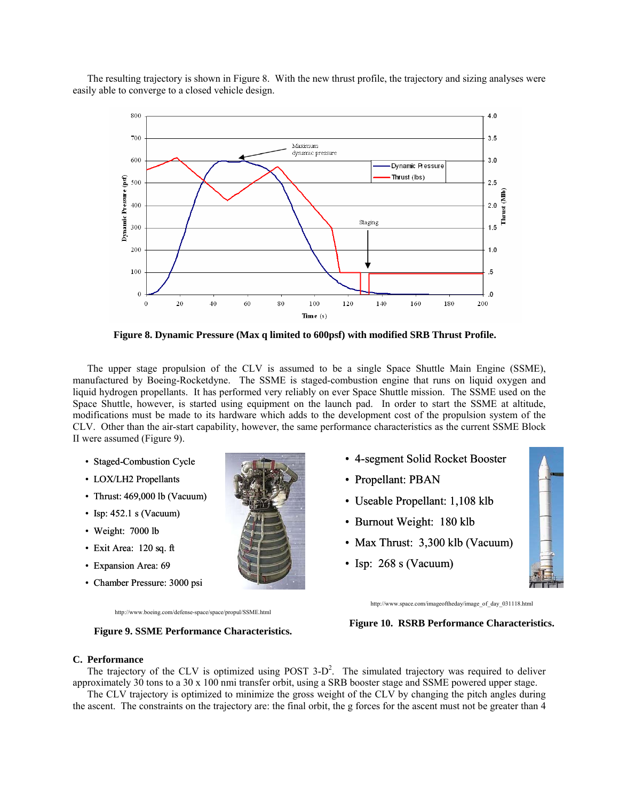The resulting trajectory is shown in Figure 8. With the new thrust profile, the trajectory and sizing analyses were easily able to converge to a closed vehicle design.



**Figure 8. Dynamic Pressure (Max q limited to 600psf) with modified SRB Thrust Profile.** 

The upper stage propulsion of the CLV is assumed to be a single Space Shuttle Main Engine (SSME), manufactured by Boeing-Rocketdyne. The SSME is staged-combustion engine that runs on liquid oxygen and liquid hydrogen propellants. It has performed very reliably on ever Space Shuttle mission. The SSME used on the Space Shuttle, however, is started using equipment on the launch pad. In order to start the SSME at altitude, modifications must be made to its hardware which adds to the development cost of the propulsion system of the CLV. Other than the air-start capability, however, the same performance characteristics as the current SSME Block II were assumed (Figure 9).

- Staged-Combustion Cycle
- LOX/LH2 Propellants
- Thrust: 469,000 lb (Vacuum)
- Isp:  $452.1$  s (Vacuum)
- Weight: 7000 lb
- Exit Area: 120 sq. ft
- Expansion Area: 69
- Chamber Pressure: 3000 psi



- 4-segment Solid Rocket Booster
- Propellant: PBAN
- Useable Propellant: 1,108 klb
- Burnout Weight: 180 klb
- Max Thrust: 3,300 klb (Vacuum)
- Isp: 268 s (Vacuum)



http://www.boeing.com/defense-space/space/propul/SSME.html

**Figure 9. SSME Performance Characteristics.** 

http://www.space.com/imageoftheday/image\_of\_day\_031118.html

# **Figure 10. RSRB Performance Characteristics.**

#### **C. Performance**

The trajectory of the CLV is optimized using POST  $3-D^2$ . The simulated trajectory was required to deliver approximately 30 tons to a 30 x 100 nmi transfer orbit, using a SRB booster stage and SSME powered upper stage.

The CLV trajectory is optimized to minimize the gross weight of the CLV by changing the pitch angles during the ascent. The constraints on the trajectory are: the final orbit, the g forces for the ascent must not be greater than 4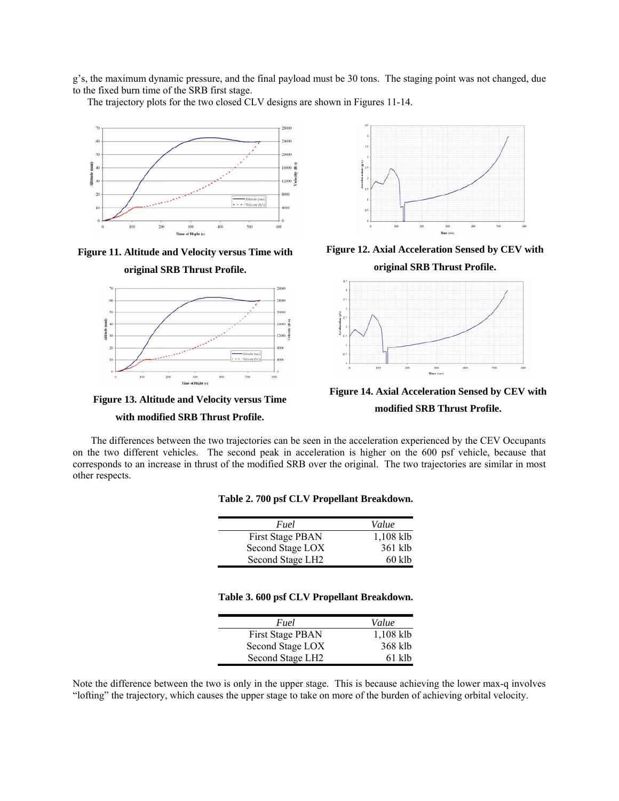g's, the maximum dynamic pressure, and the final payload must be 30 tons. The staging point was not changed, due to the fixed burn time of the SRB first stage.

The trajectory plots for the two closed CLV designs are shown in Figures 11-14.









## **with modified SRB Thrust Profile.**



**Figure 12. Axial Acceleration Sensed by CEV with original SRB Thrust Profile.** 



**Figure 14. Axial Acceleration Sensed by CEV with modified SRB Thrust Profile.** 

The differences between the two trajectories can be seen in the acceleration experienced by the CEV Occupants on the two different vehicles. The second peak in acceleration is higher on the 600 psf vehicle, because that corresponds to an increase in thrust of the modified SRB over the original. The two trajectories are similar in most other respects.

| Fuel             | Value     |
|------------------|-----------|
| First Stage PBAN | 1,108 klb |
| Second Stage LOX | 361 klb   |
| Second Stage LH2 | $60$ klb  |

#### **Table 3. 600 psf CLV Propellant Breakdown.**

| Fuel                         | Value       |
|------------------------------|-------------|
| First Stage PBAN             | $1,108$ klb |
| Second Stage LOX             | 368 klb     |
| Second Stage LH <sub>2</sub> | $61$ klb    |

Note the difference between the two is only in the upper stage. This is because achieving the lower max-q involves "lofting" the trajectory, which causes the upper stage to take on more of the burden of achieving orbital velocity.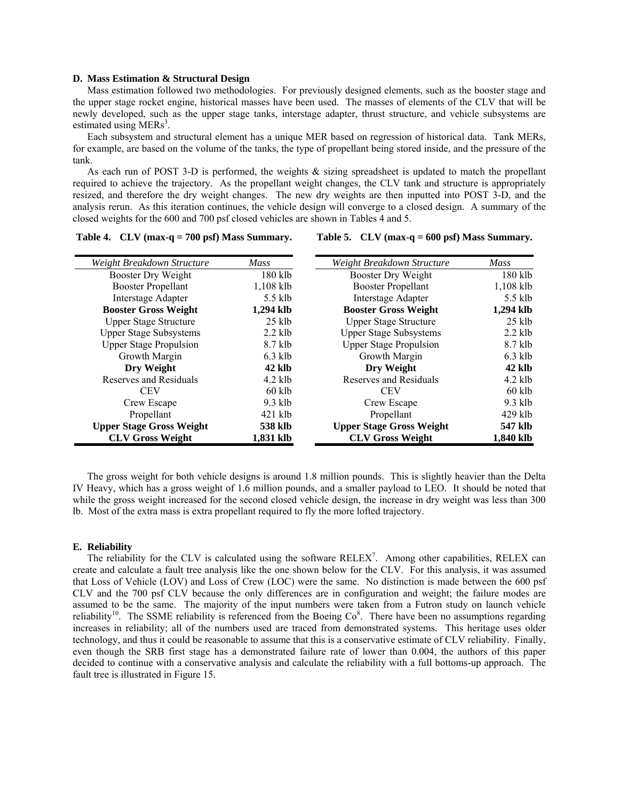#### **D. Mass Estimation & Structural Design**

Mass estimation followed two methodologies. For previously designed elements, such as the booster stage and the upper stage rocket engine, historical masses have been used. The masses of elements of the CLV that will be newly developed, such as the upper stage tanks, interstage adapter, thrust structure, and vehicle subsystems are estimated using MERs<sup>3</sup>.

Each subsystem and structural element has a unique MER based on regression of historical data. Tank MERs, for example, are based on the volume of the tanks, the type of propellant being stored inside, and the pressure of the tank.

As each run of POST 3-D is performed, the weights & sizing spreadsheet is updated to match the propellant required to achieve the trajectory. As the propellant weight changes, the CLV tank and structure is appropriately resized, and therefore the dry weight changes. The new dry weights are then inputted into POST 3-D, and the analysis rerun. As this iteration continues, the vehicle design will converge to a closed design. A summary of the closed weights for the 600 and 700 psf closed vehicles are shown in Tables 4 and 5.

#### **Table 5. CLV (max-q = 600 psf) Mass Summary.**

| Weight Breakdown Structure      | <b>Mass</b> | Weight Breakdown Structure      | <b>Mass</b> |
|---------------------------------|-------------|---------------------------------|-------------|
| Booster Dry Weight              | $180$ klb   | Booster Dry Weight              | 180 klb     |
| <b>Booster Propellant</b>       | $1,108$ klb | <b>Booster Propellant</b>       | $1,108$ klb |
| <b>Interstage Adapter</b>       | $5.5$ klb   | <b>Interstage Adapter</b>       | 5.5 klb     |
| <b>Booster Gross Weight</b>     | 1.294 klb   | <b>Booster Gross Weight</b>     | 1.294 klb   |
| <b>Upper Stage Structure</b>    | $25$ klb    | <b>Upper Stage Structure</b>    | $25$ klb    |
| <b>Upper Stage Subsystems</b>   | $2.2$ klb   | <b>Upper Stage Subsystems</b>   | $2.2$ klb   |
| <b>Upper Stage Propulsion</b>   | $8.7$ klb   | <b>Upper Stage Propulsion</b>   | 8.7 klb     |
| Growth Margin                   | $6.3$ klb   | Growth Margin                   | $6.3$ klb   |
| Dry Weight                      | 42 klb      | Dry Weight                      | $42$ klb    |
| Reserves and Residuals          | $4.2$ klb   | Reserves and Residuals          | $4.2$ klb   |
| <b>CEV</b>                      | $60$ klb    | <b>CEV</b>                      | $60$ klb    |
| Crew Escape                     | $9.3$ klb   | Crew Escape                     | $9.3$ klb   |
| Propellant                      | $421$ klb   | Propellant                      | $429$ klb   |
| <b>Upper Stage Gross Weight</b> | 538 klb     | <b>Upper Stage Gross Weight</b> | 547 klb     |
| <b>CLV Gross Weight</b>         | 1,831 klb   | <b>CLV Gross Weight</b>         | 1,840 klb   |
|                                 |             |                                 |             |

The gross weight for both vehicle designs is around 1.8 million pounds. This is slightly heavier than the Delta IV Heavy, which has a gross weight of 1.6 million pounds, and a smaller payload to LEO. It should be noted that while the gross weight increased for the second closed vehicle design, the increase in dry weight was less than 300 lb. Most of the extra mass is extra propellant required to fly the more lofted trajectory.

#### **E. Reliability**

The reliability for the CLV is calculated using the software RELEX<sup>7</sup>. Among other capabilities, RELEX can create and calculate a fault tree analysis like the one shown below for the CLV. For this analysis, it was assumed that Loss of Vehicle (LOV) and Loss of Crew (LOC) were the same. No distinction is made between the 600 psf CLV and the 700 psf CLV because the only differences are in configuration and weight; the failure modes are assumed to be the same. The majority of the input numbers were taken from a Futron study on launch vehicle reliability<sup>10</sup>. The SSME reliability is referenced from the Boeing  $Co^8$ . There have been no assumptions regarding increases in reliability; all of the numbers used are traced from demonstrated systems. This heritage uses older technology, and thus it could be reasonable to assume that this is a conservative estimate of CLV reliability. Finally, even though the SRB first stage has a demonstrated failure rate of lower than 0.004, the authors of this paper decided to continue with a conservative analysis and calculate the reliability with a full bottoms-up approach. The fault tree is illustrated in Figure 15.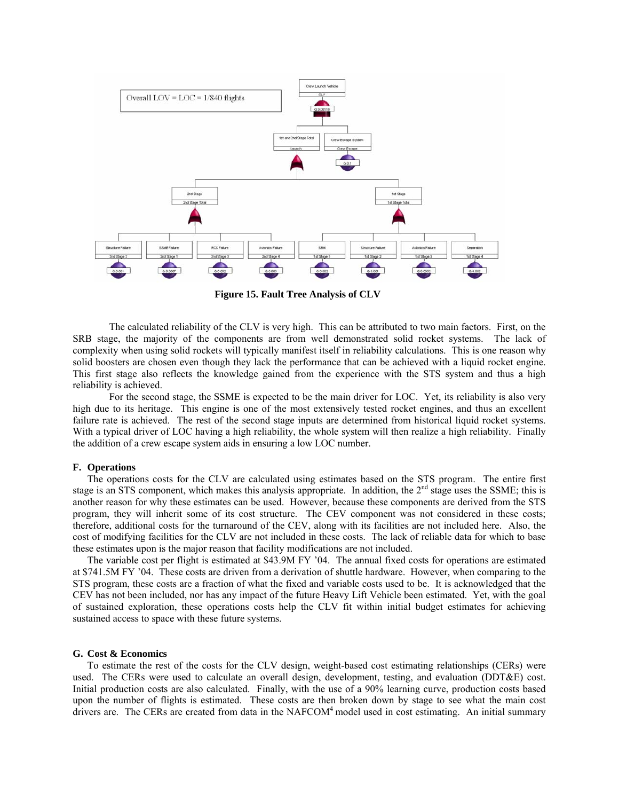

**Figure 15. Fault Tree Analysis of CLV** 

The calculated reliability of the CLV is very high. This can be attributed to two main factors. First, on the SRB stage, the majority of the components are from well demonstrated solid rocket systems. The lack of complexity when using solid rockets will typically manifest itself in reliability calculations. This is one reason why solid boosters are chosen even though they lack the performance that can be achieved with a liquid rocket engine. This first stage also reflects the knowledge gained from the experience with the STS system and thus a high reliability is achieved.

For the second stage, the SSME is expected to be the main driver for LOC. Yet, its reliability is also very high due to its heritage. This engine is one of the most extensively tested rocket engines, and thus an excellent failure rate is achieved. The rest of the second stage inputs are determined from historical liquid rocket systems. With a typical driver of LOC having a high reliability, the whole system will then realize a high reliability. Finally the addition of a crew escape system aids in ensuring a low LOC number.

#### **F. Operations**

 The operations costs for the CLV are calculated using estimates based on the STS program. The entire first stage is an STS component, which makes this analysis appropriate. In addition, the 2<sup>nd</sup> stage uses the SSME; this is another reason for why these estimates can be used. However, because these components are derived from the STS program, they will inherit some of its cost structure. The CEV component was not considered in these costs; therefore, additional costs for the turnaround of the CEV, along with its facilities are not included here. Also, the cost of modifying facilities for the CLV are not included in these costs. The lack of reliable data for which to base these estimates upon is the major reason that facility modifications are not included.

 The variable cost per flight is estimated at \$43.9M FY '04. The annual fixed costs for operations are estimated at \$741.5M FY '04. These costs are driven from a derivation of shuttle hardware. However, when comparing to the STS program, these costs are a fraction of what the fixed and variable costs used to be. It is acknowledged that the CEV has not been included, nor has any impact of the future Heavy Lift Vehicle been estimated. Yet, with the goal of sustained exploration, these operations costs help the CLV fit within initial budget estimates for achieving sustained access to space with these future systems.

## **G. Cost & Economics**

 To estimate the rest of the costs for the CLV design, weight-based cost estimating relationships (CERs) were used. The CERs were used to calculate an overall design, development, testing, and evaluation (DDT&E) cost. Initial production costs are also calculated. Finally, with the use of a 90% learning curve, production costs based upon the number of flights is estimated. These costs are then broken down by stage to see what the main cost drivers are. The CERs are created from data in the NAFCOM<sup>4</sup> model used in cost estimating. An initial summary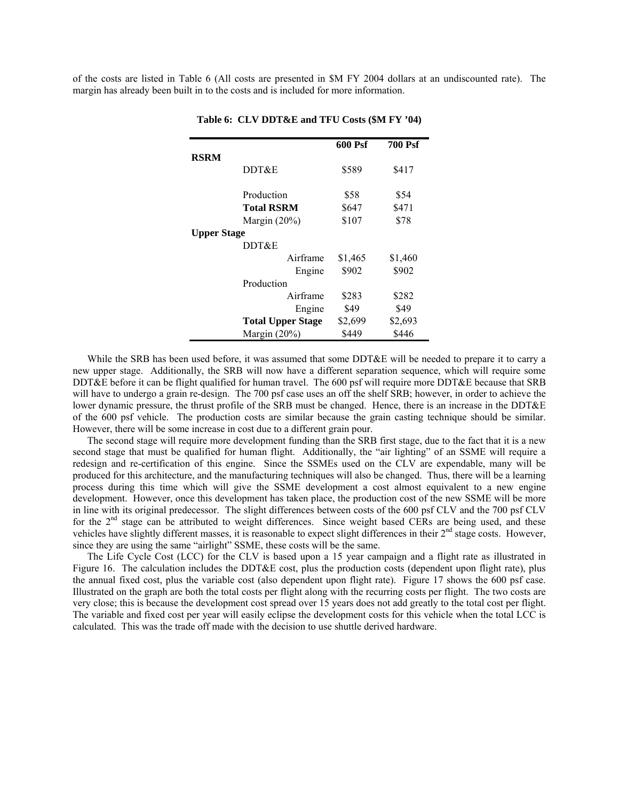of the costs are listed in Table 6 (All costs are presented in \$M FY 2004 dollars at an undiscounted rate). The margin has already been built in to the costs and is included for more information.

|                    |                          | 600 Psf | <b>700 Psf</b> |
|--------------------|--------------------------|---------|----------------|
| <b>RSRM</b>        |                          |         |                |
|                    | DDT&E                    | \$589   | \$417          |
|                    | Production               | \$58    | \$54           |
|                    | <b>Total RSRM</b>        | \$647   | \$471          |
|                    | Margin $(20\%)$          | \$107   | \$78           |
| <b>Upper Stage</b> |                          |         |                |
|                    | DDT&E                    |         |                |
|                    | Airframe                 | \$1,465 | \$1,460        |
|                    | Engine                   | \$902   | \$902          |
|                    | Production               |         |                |
|                    | Airframe                 | \$283   | \$282          |
|                    | Engine                   | \$49    | \$49           |
|                    | <b>Total Upper Stage</b> | \$2,699 | \$2,693        |
|                    | Margin $(20\%)$          | \$449   | \$446          |

**Table 6: CLV DDT&E and TFU Costs (\$M FY '04)** 

While the SRB has been used before, it was assumed that some DDT&E will be needed to prepare it to carry a new upper stage. Additionally, the SRB will now have a different separation sequence, which will require some DDT&E before it can be flight qualified for human travel. The 600 psf will require more DDT&E because that SRB will have to undergo a grain re-design. The 700 psf case uses an off the shelf SRB; however, in order to achieve the lower dynamic pressure, the thrust profile of the SRB must be changed. Hence, there is an increase in the DDT&E of the 600 psf vehicle. The production costs are similar because the grain casting technique should be similar. However, there will be some increase in cost due to a different grain pour.

 The second stage will require more development funding than the SRB first stage, due to the fact that it is a new second stage that must be qualified for human flight. Additionally, the "air lighting" of an SSME will require a redesign and re-certification of this engine. Since the SSMEs used on the CLV are expendable, many will be produced for this architecture, and the manufacturing techniques will also be changed. Thus, there will be a learning process during this time which will give the SSME development a cost almost equivalent to a new engine development. However, once this development has taken place, the production cost of the new SSME will be more in line with its original predecessor. The slight differences between costs of the 600 psf CLV and the 700 psf CLV for the  $2<sup>nd</sup>$  stage can be attributed to weight differences. Since weight based CERs are being used, and these vehicles have slightly different masses, it is reasonable to expect slight differences in their  $2<sup>nd</sup>$  stage costs. However, since they are using the same "airlight" SSME, these costs will be the same.

 The Life Cycle Cost (LCC) for the CLV is based upon a 15 year campaign and a flight rate as illustrated in Figure 16. The calculation includes the DDT&E cost, plus the production costs (dependent upon flight rate), plus the annual fixed cost, plus the variable cost (also dependent upon flight rate). Figure 17 shows the 600 psf case. Illustrated on the graph are both the total costs per flight along with the recurring costs per flight. The two costs are very close; this is because the development cost spread over 15 years does not add greatly to the total cost per flight. The variable and fixed cost per year will easily eclipse the development costs for this vehicle when the total LCC is calculated. This was the trade off made with the decision to use shuttle derived hardware.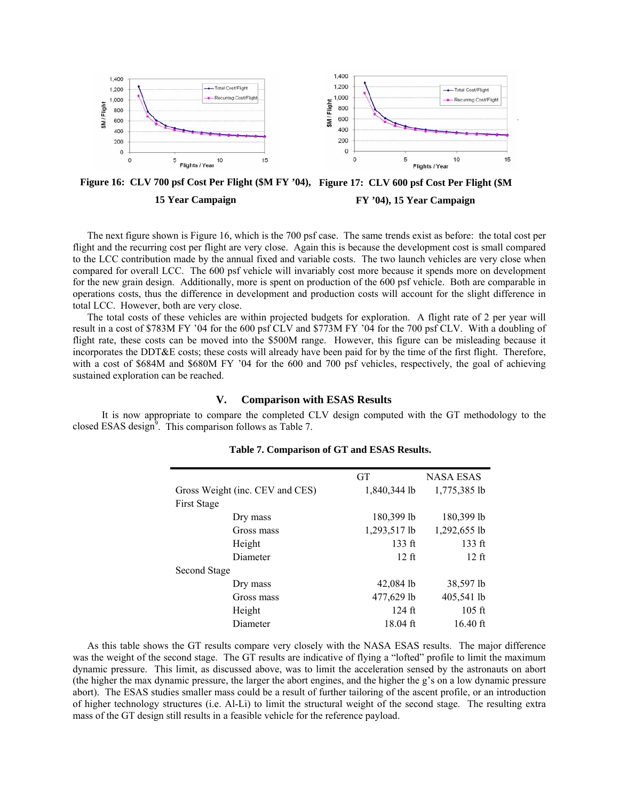

**Figure 16: CLV 700 psf Cost Per Flight (\$M FY '04), Figure 17: CLV 600 psf Cost Per Flight (\$M 15 Year Campaign FY '04), 15 Year Campaign** 

 The next figure shown is Figure 16, which is the 700 psf case. The same trends exist as before: the total cost per flight and the recurring cost per flight are very close. Again this is because the development cost is small compared to the LCC contribution made by the annual fixed and variable costs. The two launch vehicles are very close when compared for overall LCC. The 600 psf vehicle will invariably cost more because it spends more on development for the new grain design. Additionally, more is spent on production of the 600 psf vehicle. Both are comparable in operations costs, thus the difference in development and production costs will account for the slight difference in total LCC. However, both are very close.

 The total costs of these vehicles are within projected budgets for exploration. A flight rate of 2 per year will result in a cost of \$783M FY '04 for the 600 psf CLV and \$773M FY '04 for the 700 psf CLV. With a doubling of flight rate, these costs can be moved into the \$500M range. However, this figure can be misleading because it incorporates the DDT&E costs; these costs will already have been paid for by the time of the first flight. Therefore, with a cost of \$684M and \$680M FY '04 for the 600 and 700 psf vehicles, respectively, the goal of achieving sustained exploration can be reached.

# **V. Comparison with ESAS Results**

 It is now appropriate to compare the completed CLV design computed with the GT methodology to the closed ESAS design $9$ . This comparison follows as Table 7.

|                                 | <b>GT</b>        | <b>NASA ESAS</b> |
|---------------------------------|------------------|------------------|
| Gross Weight (inc. CEV and CES) | 1,840,344 lb     | 1,775,385 lb     |
| <b>First Stage</b>              |                  |                  |
| Dry mass                        | 180,399 lb       | 180,399 lb       |
| Gross mass                      | 1,293,517 lb     | 1,292,655 lb     |
| Height                          | $133 \text{ ft}$ | $133$ ft         |
| Diameter                        | $12 \text{ ft}$  | $12 \text{ ft}$  |
| Second Stage                    |                  |                  |
| Dry mass                        | 42,084 lb        | 38,597 lb        |
| Gross mass                      | 477,629 lb       | 405,541 lb       |
| Height                          | $124$ ft         | $105$ ft         |
| Diameter                        | $18.04$ ft       | $16.40$ ft       |

# **Table 7. Comparison of GT and ESAS Results.**

As this table shows the GT results compare very closely with the NASA ESAS results. The major difference was the weight of the second stage. The GT results are indicative of flying a "lofted" profile to limit the maximum dynamic pressure. This limit, as discussed above, was to limit the acceleration sensed by the astronauts on abort (the higher the max dynamic pressure, the larger the abort engines, and the higher the g's on a low dynamic pressure abort). The ESAS studies smaller mass could be a result of further tailoring of the ascent profile, or an introduction of higher technology structures (i.e. Al-Li) to limit the structural weight of the second stage. The resulting extra mass of the GT design still results in a feasible vehicle for the reference payload.